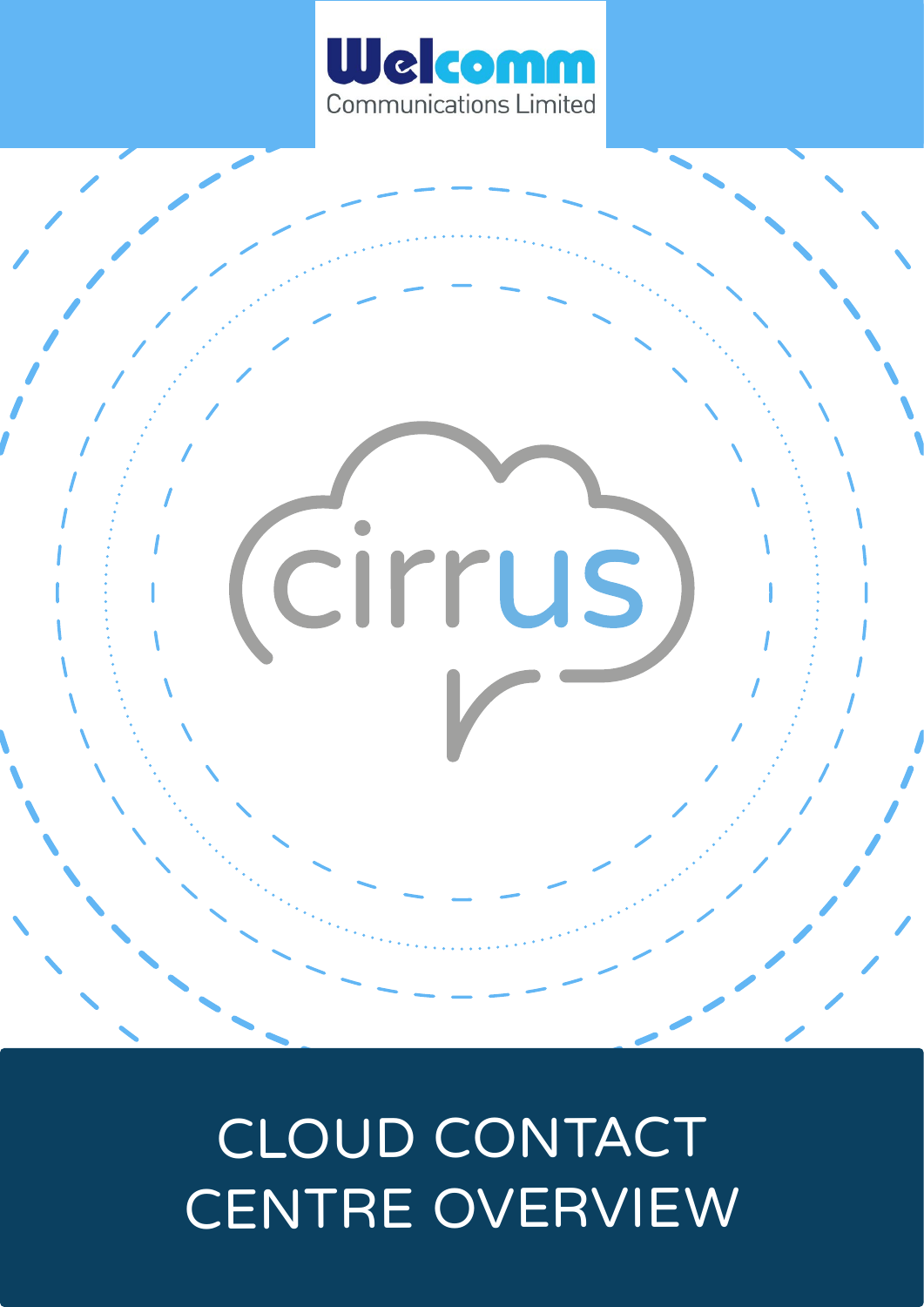

# cirrus

# CLOUD CONTACT CENTRE OVERVIEW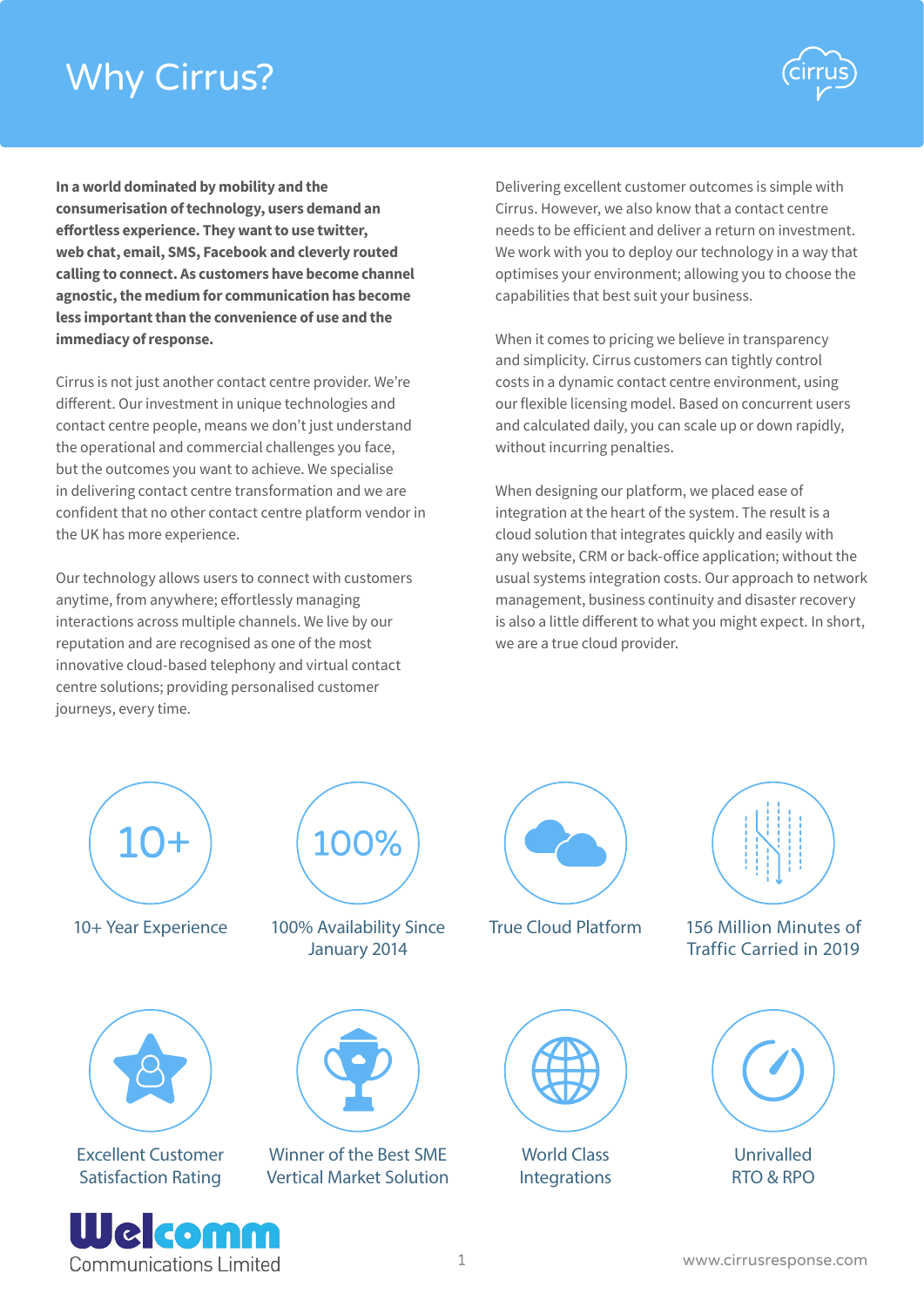# Why Cirrus?



**In a world dominated by mobility and the consumerisation of technology, users demand an effortless experience. They want to use twitter, web chat, email, SMS, Facebook and cleverly routed calling to connect. As customers have become channel agnostic, the medium for communication has become less important than the convenience of use and the immediacy of response.**

Cirrus is not just another contact centre provider. We're different. Our investment in unique technologies and contact centre people, means we don't just understand the operational and commercial challenges you face, but the outcomes you want to achieve. We specialise in delivering contact centre transformation and we are confident that no other contact centre platform vendor in the UK has more experience.

Our technology allows users to connect with customers anytime, from anywhere; effortlessly managing interactions across multiple channels. We live by our reputation and are recognised as one of the most innovative cloud-based telephony and virtual contact centre solutions; providing personalised customer journeys, every time.

**Communications Limited** 

Delivering excellent customer outcomes is simple with Cirrus. However, we also know that a contact centre needs to be efficient and deliver a return on investment. We work with you to deploy our technology in a way that optimises your environment; allowing you to choose the capabilities that best suit your business.

When it comes to pricing we believe in transparency and simplicity. Cirrus customers can tightly control costs in a dynamic contact centre environment, using our flexible licensing model. Based on concurrent users and calculated daily, you can scale up or down rapidly, without incurring penalties.

When designing our platform, we placed ease of integration at the heart of the system. The result is a cloud solution that integrates quickly and easily with any website, CRM or back-office application; without the usual systems integration costs. Our approach to network management, business continuity and disaster recovery is also a little different to what you might expect. In short, we are a true cloud provider.

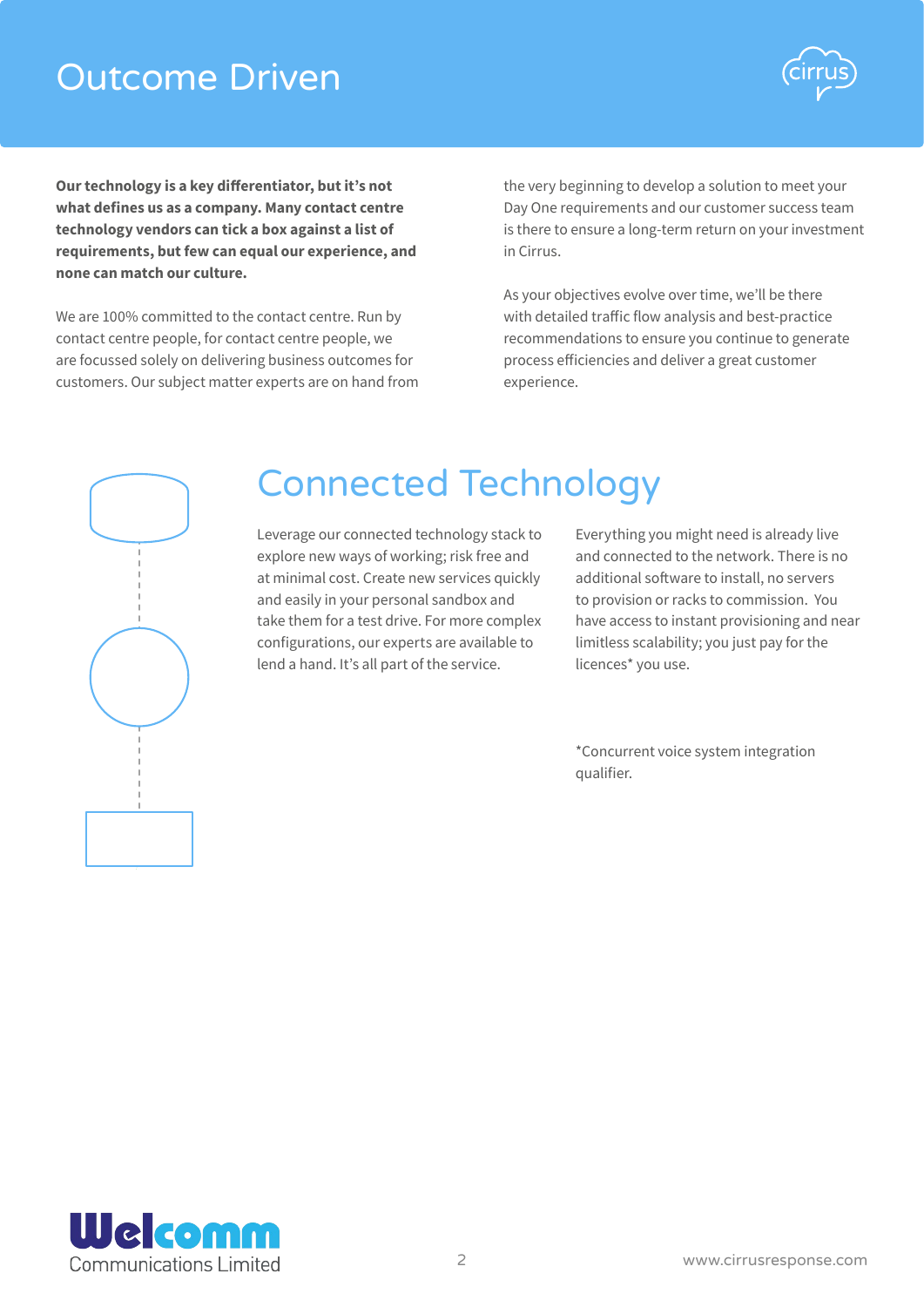# Outcome Driven



**Our technology is a key differentiator, but it's not what defines us as a company. Many contact centre technology vendors can tick a box against a list of requirements, but few can equal our experience, and none can match our culture.**

We are 100% committed to the contact centre. Run by contact centre people, for contact centre people, we are focussed solely on delivering business outcomes for customers. Our subject matter experts are on hand from

the very beginning to develop a solution to meet your Day One requirements and our customer success team is there to ensure a long-term return on your investment in Cirrus.

As your objectives evolve over time, we'll be there with detailed traffic flow analysis and best-practice recommendations to ensure you continue to generate process efficiencies and deliver a great customer experience.



# Connected Technology

Leverage our connected technology stack to explore new ways of working; risk free and at minimal cost. Create new services quickly and easily in your personal sandbox and take them for a test drive. For more complex configurations, our experts are available to lend a hand. It's all part of the service.

Everything you might need is already live and connected to the network. There is no additional software to install, no servers to provision or racks to commission. You have access to instant provisioning and near limitless scalability; you just pay for the licences\* you use.

\*Concurrent voice system integration qualifier.

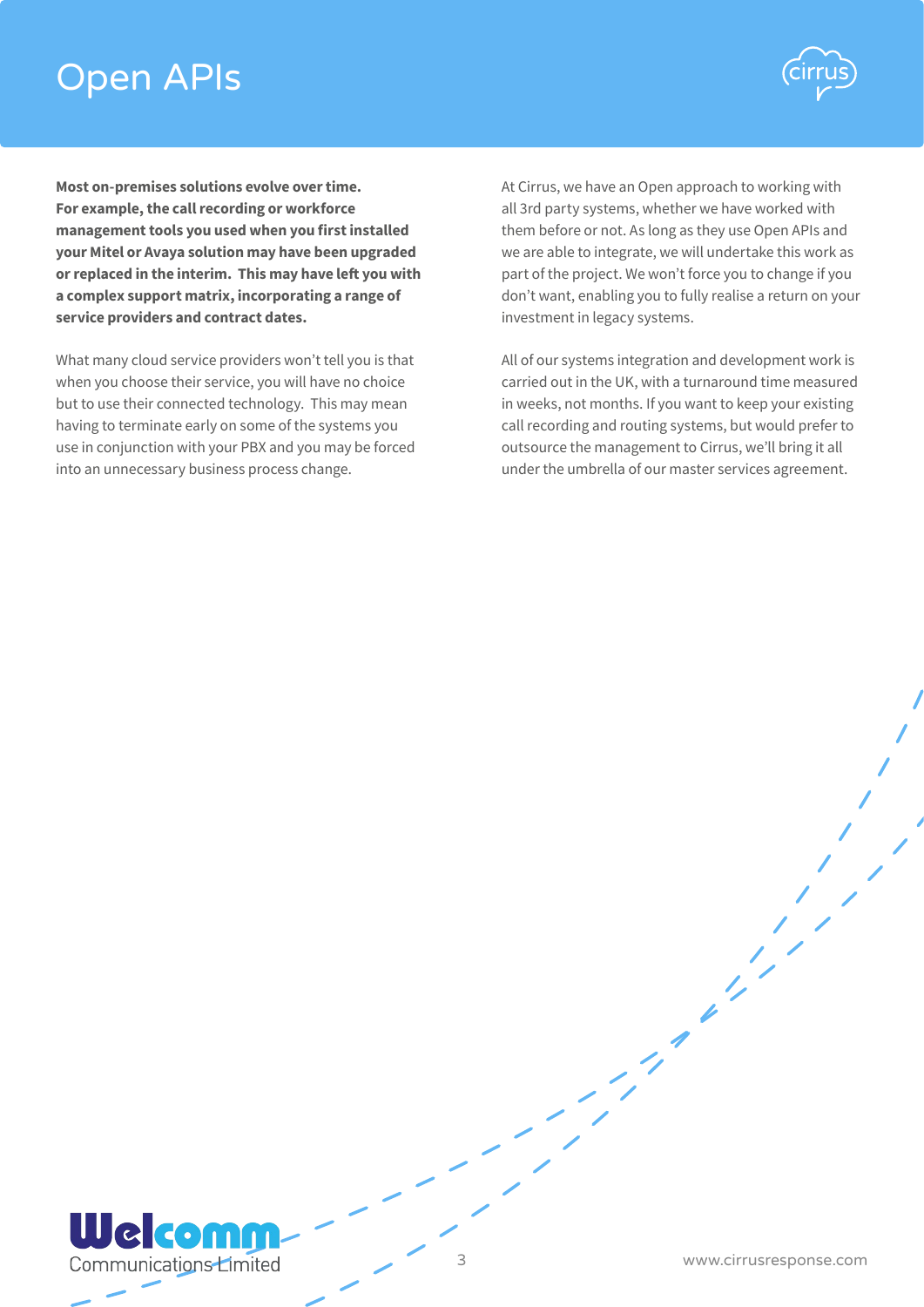# Open APIs



**Most on-premises solutions evolve over time. For example, the call recording or workforce management tools you used when you first installed your Mitel or Avaya solution may have been upgraded or replaced in the interim. This may have left you with a complex support matrix, incorporating a range of service providers and contract dates.**

What many cloud service providers won't tell you is that when you choose their service, you will have no choice but to use their connected technology. This may mean having to terminate early on some of the systems you use in conjunction with your PBX and you may be forced into an unnecessary business process change.

At Cirrus, we have an Open approach to working with all 3rd party systems, whether we have worked with them before or not. As long as they use Open APIs and we are able to integrate, we will undertake this work as part of the project. We won't force you to change if you don't want, enabling you to fully realise a return on your investment in legacy systems.

All of our systems integration and development work is carried out in the UK, with a turnaround time measured in weeks, not months. If you want to keep your existing call recording and routing systems, but would prefer to outsource the management to Cirrus, we'll bring it all under the umbrella of our master services agreement.

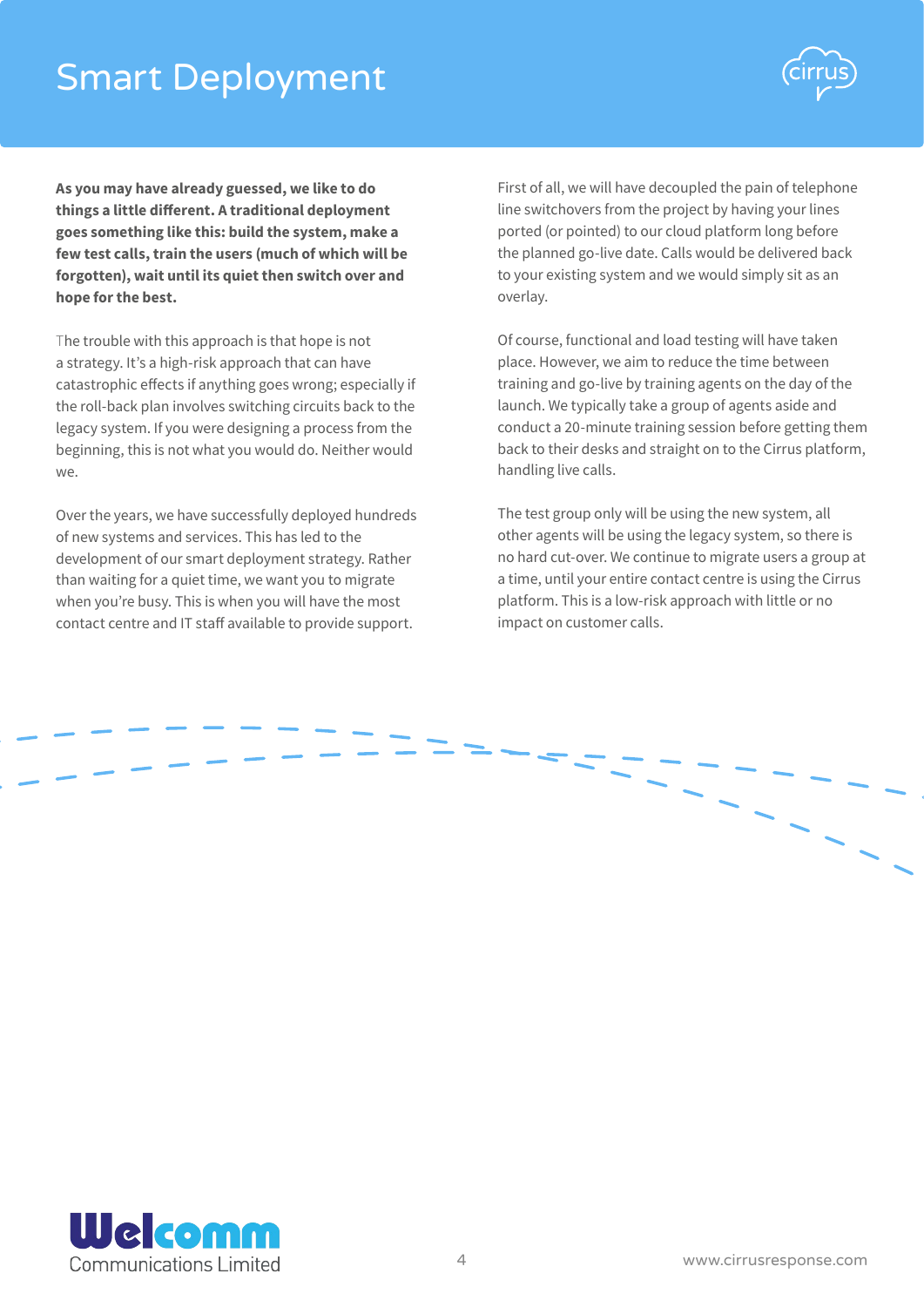# Smart Deployment



**As you may have already guessed, we like to do things a little different. A traditional deployment goes something like this: build the system, make a few test calls, train the users (much of which will be forgotten), wait until its quiet then switch over and hope for the best.**

The trouble with this approach is that hope is not a strategy. It's a high-risk approach that can have catastrophic effects if anything goes wrong; especially if the roll-back plan involves switching circuits back to the legacy system. If you were designing a process from the beginning, this is not what you would do. Neither would we.

Over the years, we have successfully deployed hundreds of new systems and services. This has led to the development of our smart deployment strategy. Rather than waiting for a quiet time, we want you to migrate when you're busy. This is when you will have the most contact centre and IT staff available to provide support.

First of all, we will have decoupled the pain of telephone line switchovers from the project by having your lines ported (or pointed) to our cloud platform long before the planned go-live date. Calls would be delivered back to your existing system and we would simply sit as an overlay.

Of course, functional and load testing will have taken place. However, we aim to reduce the time between training and go-live by training agents on the day of the launch. We typically take a group of agents aside and conduct a 20-minute training session before getting them back to their desks and straight on to the Cirrus platform, handling live calls.

The test group only will be using the new system, all other agents will be using the legacy system, so there is no hard cut-over. We continue to migrate users a group at a time, until your entire contact centre is using the Cirrus platform. This is a low-risk approach with little or no impact on customer calls.



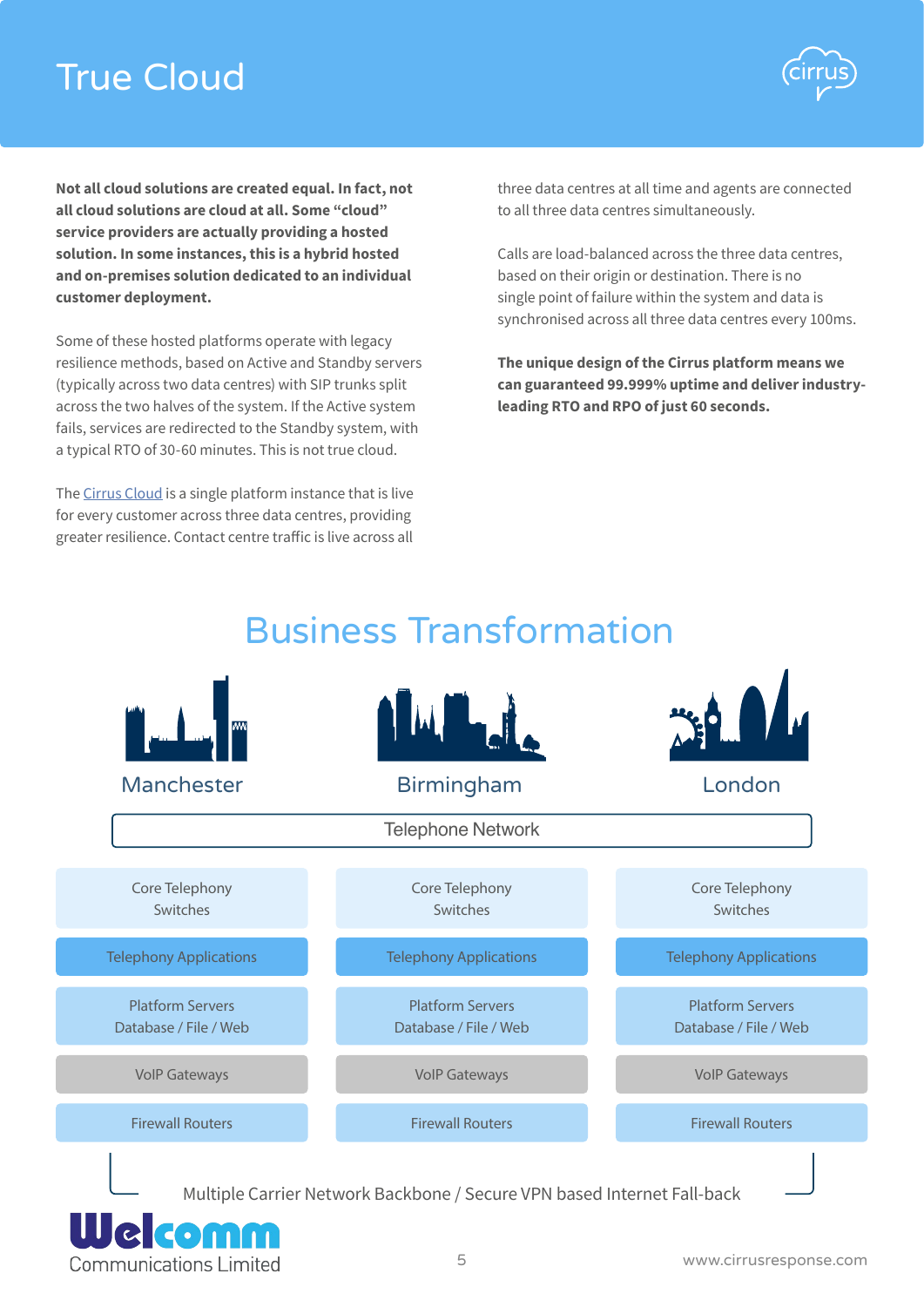# True Cloud



**Not all cloud solutions are created equal. In fact, not all cloud solutions are cloud at all. Some "cloud" service providers are actually providing a hosted solution. In some instances, this is a hybrid hosted and on-premises solution dedicated to an individual customer deployment.**

Some of these hosted platforms operate with legacy resilience methods, based on Active and Standby servers (typically across two data centres) with SIP trunks split across the two halves of the system. If the Active system fails, services are redirected to the Standby system, with a typical RTO of 30-60 minutes. This is not true cloud.

The [Cirrus Cloud](http://www.cirrusresponse.com/cloud-contact-centre) is a single platform instance that is live for every customer across three data centres, providing greater resilience. Contact centre traffic is live across all three data centres at all time and agents are connected to all three data centres simultaneously.

Calls are load-balanced across the three data centres, based on their origin or destination. There is no single point of failure within the system and data is synchronised across all three data centres every 100ms.

**The unique design of the Cirrus platform means we can guaranteed 99.999% uptime and deliver industryleading RTO and RPO of just 60 seconds.**

# Business Transformation



**Communications Limited**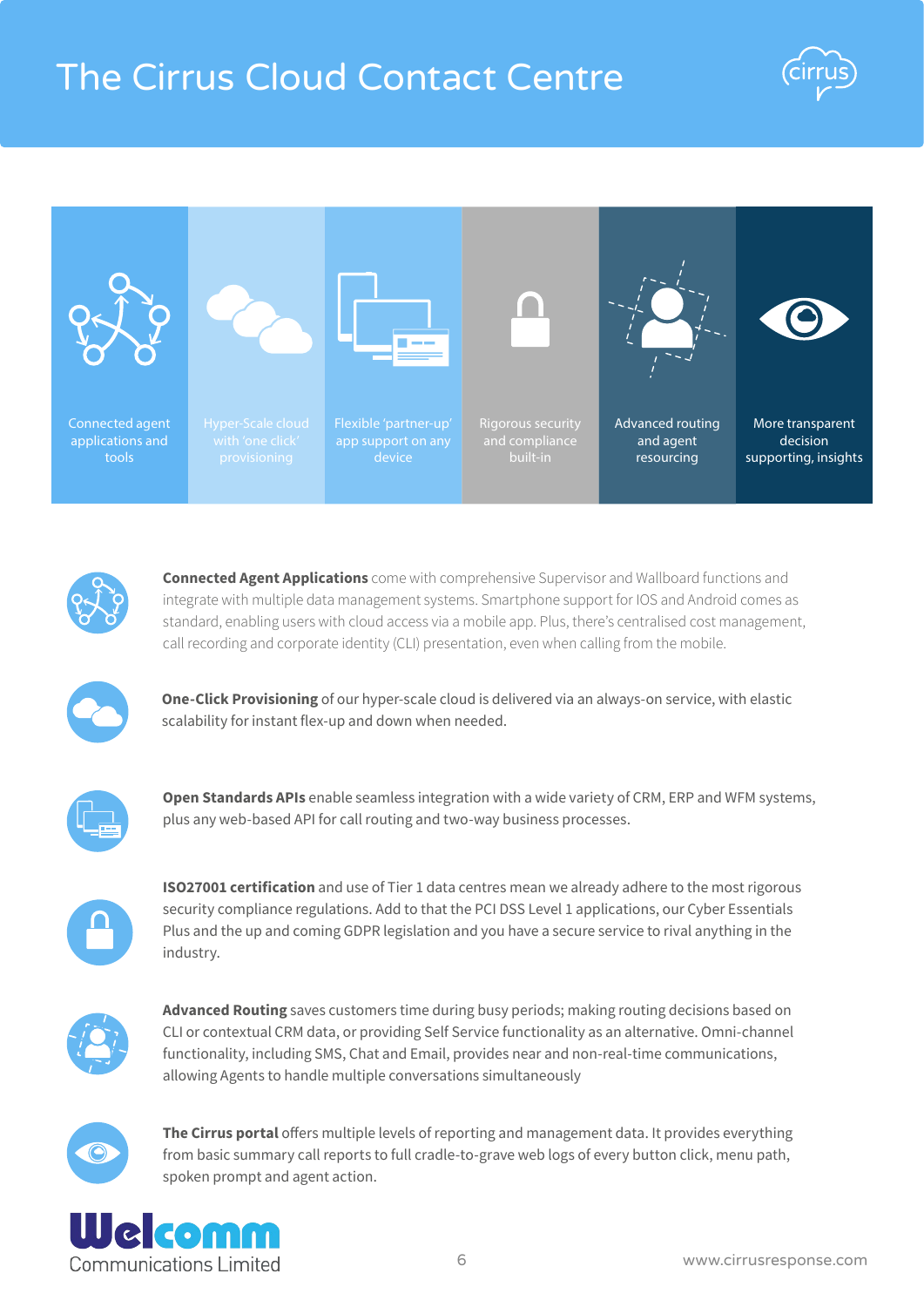# The Cirrus Cloud Contact Centre







**Connected Agent Applications** come with comprehensive Supervisor and Wallboard functions and integrate with multiple data management systems. Smartphone support for IOS and Android comes as standard, enabling users with cloud access via a mobile app. Plus, there's centralised cost management, call recording and corporate identity (CLI) presentation, even when calling from the mobile.

**One-Click Provisioning** of our hyper-scale cloud is delivered via an always-on service, with elastic scalability for instant flex-up and down when needed.



**Open Standards APIs** enable seamless integration with a wide variety of CRM, ERP and WFM systems, plus any web-based API for call routing and two-way business processes.

**ISO27001 certification** and use of Tier 1 data centres mean we already adhere to the most rigorous security compliance regulations. Add to that the PCI DSS Level 1 applications, our Cyber Essentials Plus and the up and coming GDPR legislation and you have a secure service to rival anything in the industry.



**Advanced Routing** saves customers time during busy periods; making routing decisions based on CLI or contextual CRM data, or providing Self Service functionality as an alternative. Omni-channel functionality, including SMS, Chat and Email, provides near and non-real-time communications, allowing Agents to handle multiple conversations simultaneously



**The Cirrus portal** offers multiple levels of reporting and management data. It provides everything from basic summary call reports to full cradle-to-grave web logs of every button click, menu path, spoken prompt and agent action.

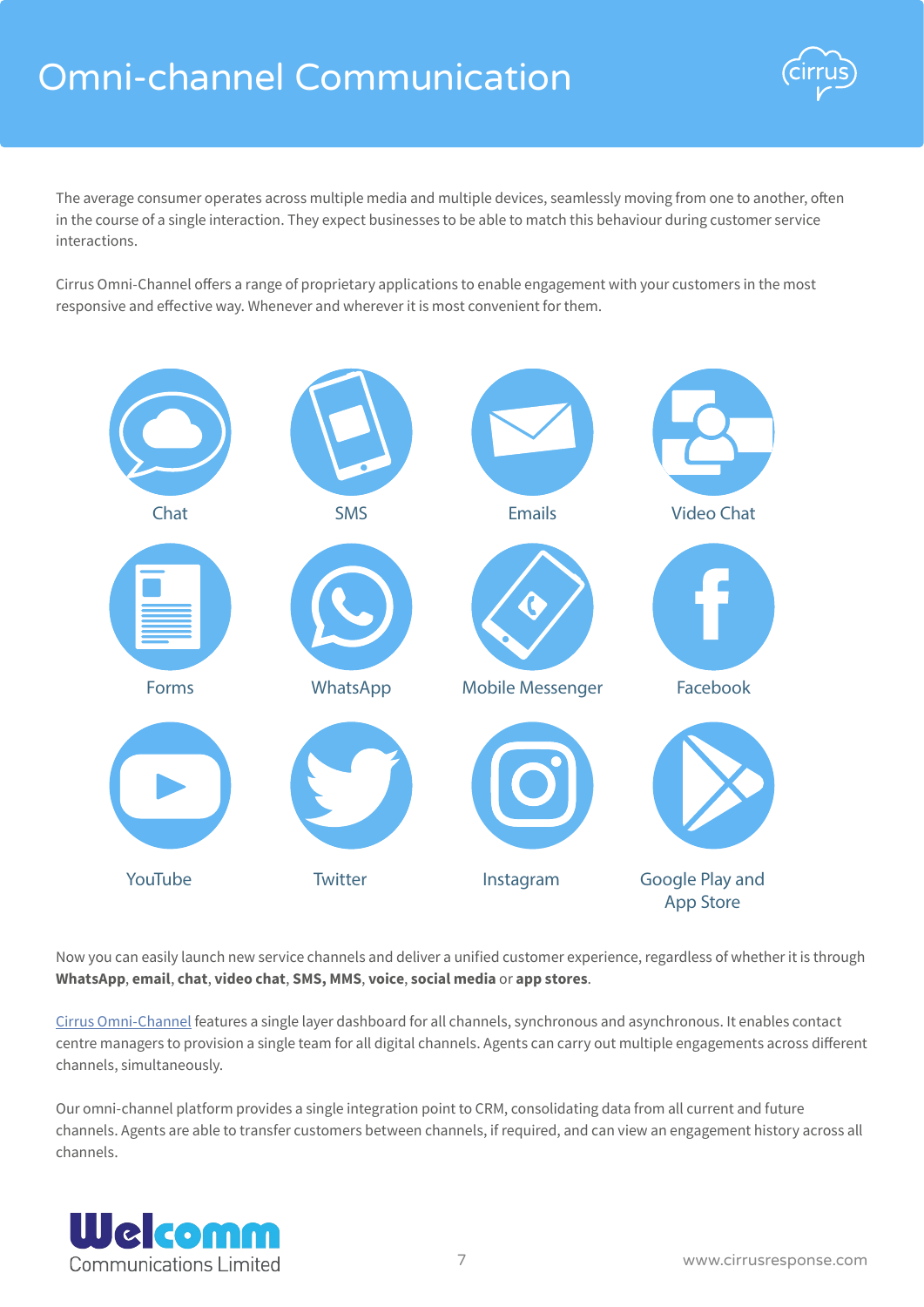# Omni-channel Communication



The average consumer operates across multiple media and multiple devices, seamlessly moving from one to another, often in the course of a single interaction. They expect businesses to be able to match this behaviour during customer service interactions.

Cirrus Omni-Channel offers a range of proprietary applications to enable engagement with your customers in the most responsive and effective way. Whenever and wherever it is most convenient for them.



Now you can easily launch new service channels and deliver a unified customer experience, regardless of whether it is through **WhatsApp**, **email**, **chat**, **video chat**, **SMS, MMS**, **voice**, **social media** or **app stores**.

[Cirrus Omni-Channel](http://www.cirrusresponse.com/contact-centre-applications/omni-channel) features a single layer dashboard for all channels, synchronous and asynchronous. It enables contact centre managers to provision a single team for all digital channels. Agents can carry out multiple engagements across different channels, simultaneously.

Our omni-channel platform provides a single integration point to CRM, consolidating data from all current and future channels. Agents are able to transfer customers between channels, if required, and can view an engagement history across all channels.

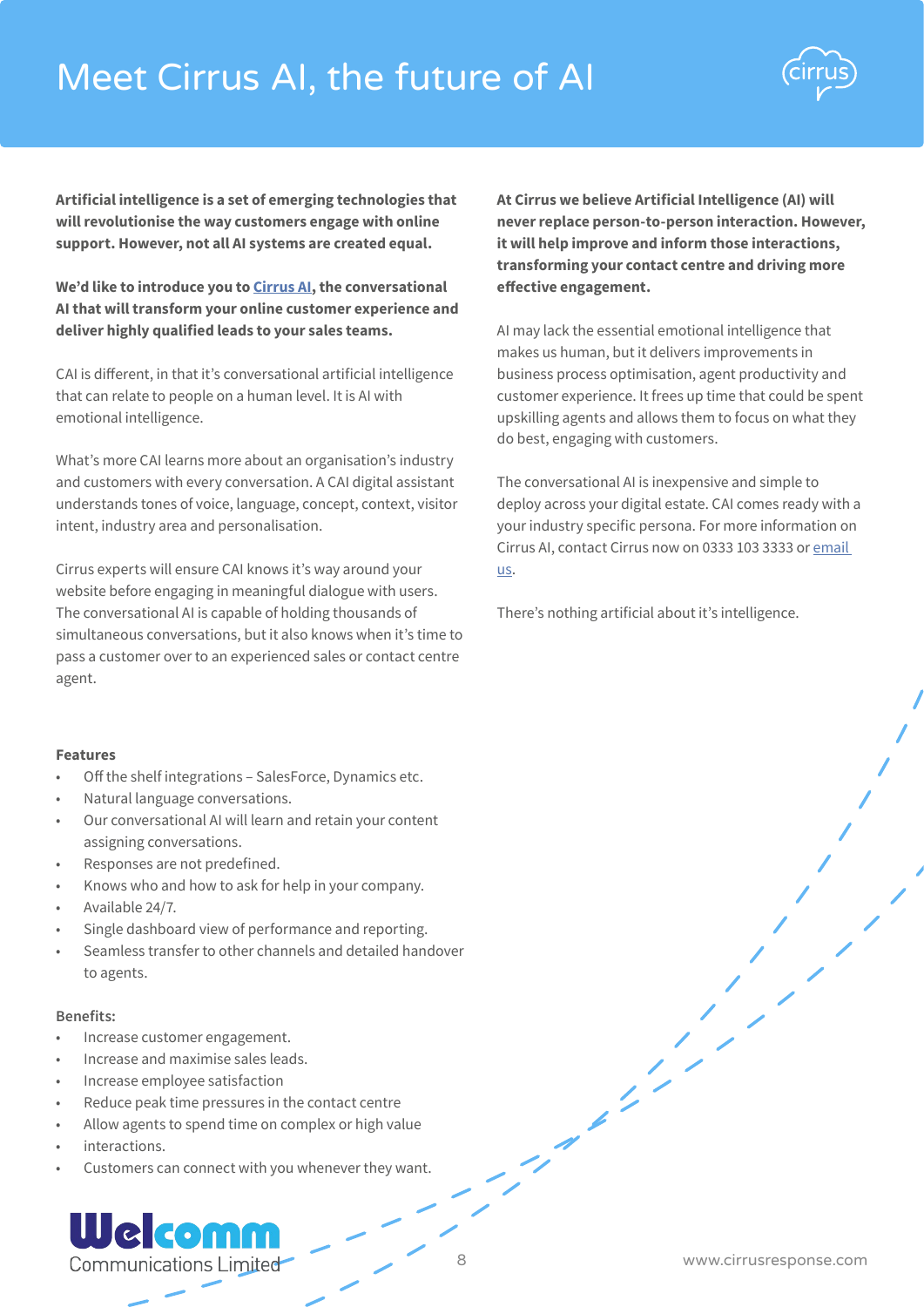# Meet Cirrus AI, the future of AI



**Artificial intelligence is a set of emerging technologies that will revolutionise the way customers engage with online support. However, not all AI systems are created equal.**

**We'd like to introduce you to [Cirrus AI](http://www.cirrusresponse.com/contact-centre-applications/artificial-intelligence), the conversational AI that will transform your online customer experience and deliver highly qualified leads to your sales teams.** 

CAI is different, in that it's conversational artificial intelligence that can relate to people on a human level. It is AI with emotional intelligence.

What's more CAI learns more about an organisation's industry and customers with every conversation. A CAI digital assistant understands tones of voice, language, concept, context, visitor intent, industry area and personalisation.

Cirrus experts will ensure CAI knows it's way around your website before engaging in meaningful dialogue with users. The conversational AI is capable of holding thousands of simultaneous conversations, but it also knows when it's time to pass a customer over to an experienced sales or contact centre agent.

### **Features**

- Off the shelf integrations SalesForce, Dynamics etc.
- Natural language conversations.
- Our conversational AI will learn and retain your content assigning conversations.
- Responses are not predefined.
- Knows who and how to ask for help in your company.
- Available 24/7.
- Single dashboard view of performance and reporting.
- Seamless transfer to other channels and detailed handover to agents.

### **Benefits:**

- Increase customer engagement.
- Increase and maximise sales leads.
- Increase employee satisfaction
- Reduce peak time pressures in the contact centre
- Allow agents to spend time on complex or high value
- interactions.
- Customers can connect with you whenever they want.

### Welcomm Communications Limited

**At Cirrus we believe Artificial Intelligence (AI) will never replace person-to-person interaction. However, it will help improve and inform those interactions, transforming your contact centre and driving more effective engagement.**

AI may lack the essential emotional intelligence that makes us human, but it delivers improvements in business process optimisation, agent productivity and customer experience. It frees up time that could be spent upskilling agents and allows them to focus on what they do best, engaging with customers.

The conversational AI is inexpensive and simple to deploy across your digital estate. CAI comes ready with a your industry specific persona. For more information on Cirrus AI, contact Cirrus now on 0333 103 3333 or [email](http://www.cirrusresponse.com/contact)  [us](http://www.cirrusresponse.com/contact).

There's nothing artificial about it's intelligence.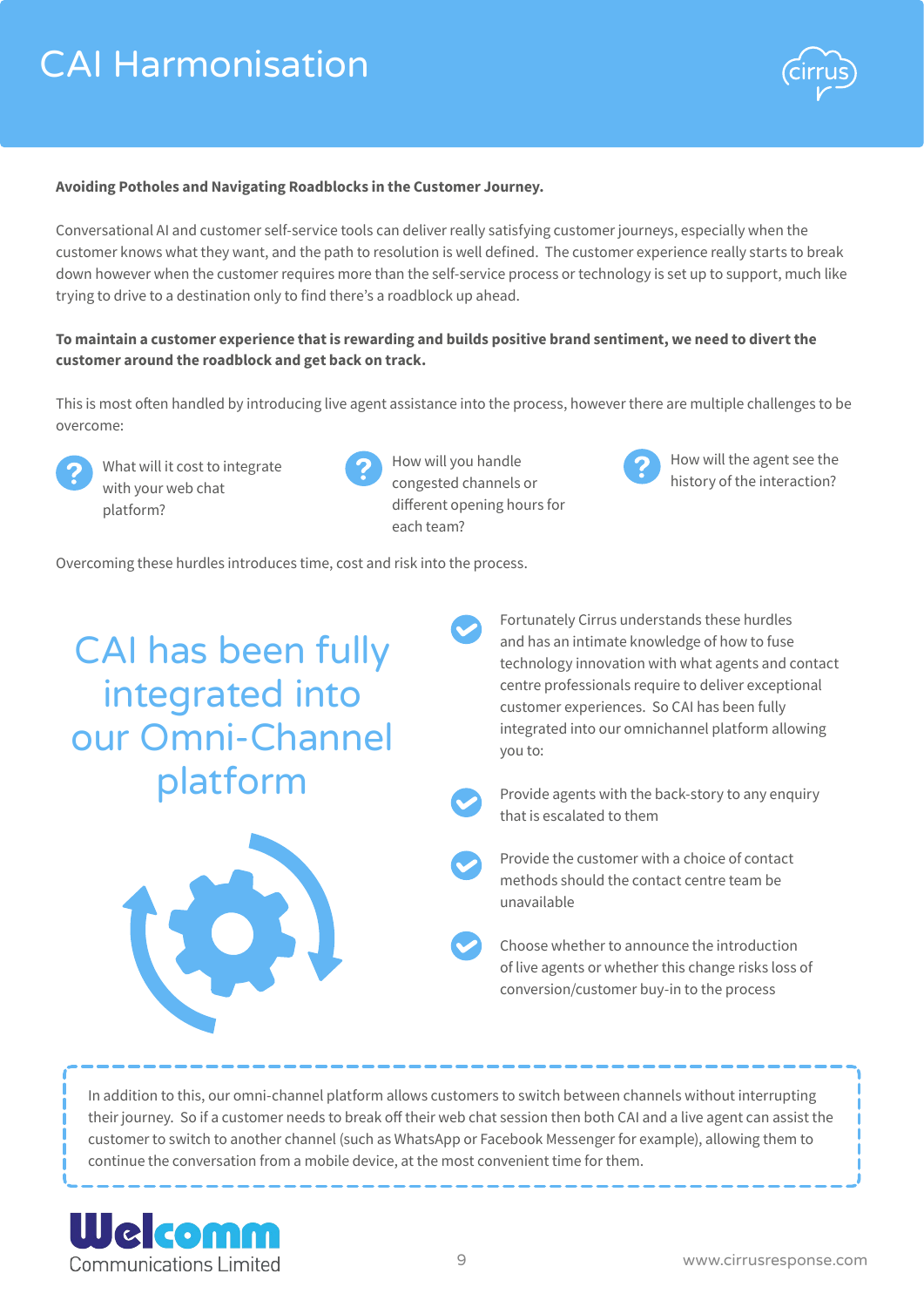

### **Avoiding Potholes and Navigating Roadblocks in the Customer Journey.**

Conversational AI and customer self-service tools can deliver really satisfying customer journeys, especially when the customer knows what they want, and the path to resolution is well defined. The customer experience really starts to break down however when the customer requires more than the self-service process or technology is set up to support, much like trying to drive to a destination only to find there's a roadblock up ahead.

### **To maintain a customer experience that is rewarding and builds positive brand sentiment, we need to divert the customer around the roadblock and get back on track.**

This is most often handled by introducing live agent assistance into the process, however there are multiple challenges to be overcome:

What will it cost to integrate with your web chat platform?



How will you handle congested channels or different opening hours for each team?



How will the agent see the history of the interaction?

Overcoming these hurdles introduces time, cost and risk into the process.

CAI has been fully integrated into our Omni-Channel platform



Fortunately Cirrus understands these hurdles and has an intimate knowledge of how to fuse technology innovation with what agents and contact centre professionals require to deliver exceptional customer experiences. So CAI has been fully integrated into our omnichannel platform allowing you to:

Provide agents with the back-story to any enquiry that is escalated to them

Provide the customer with a choice of contact methods should the contact centre team be unavailable

Choose whether to announce the introduction of live agents or whether this change risks loss of conversion/customer buy-in to the process

In addition to this, our omni-channel platform allows customers to switch between channels without interrupting their journey. So if a customer needs to break off their web chat session then both CAI and a live agent can assist the customer to switch to another channel (such as WhatsApp or Facebook Messenger for example), allowing them to continue the conversation from a mobile device, at the most convenient time for them.

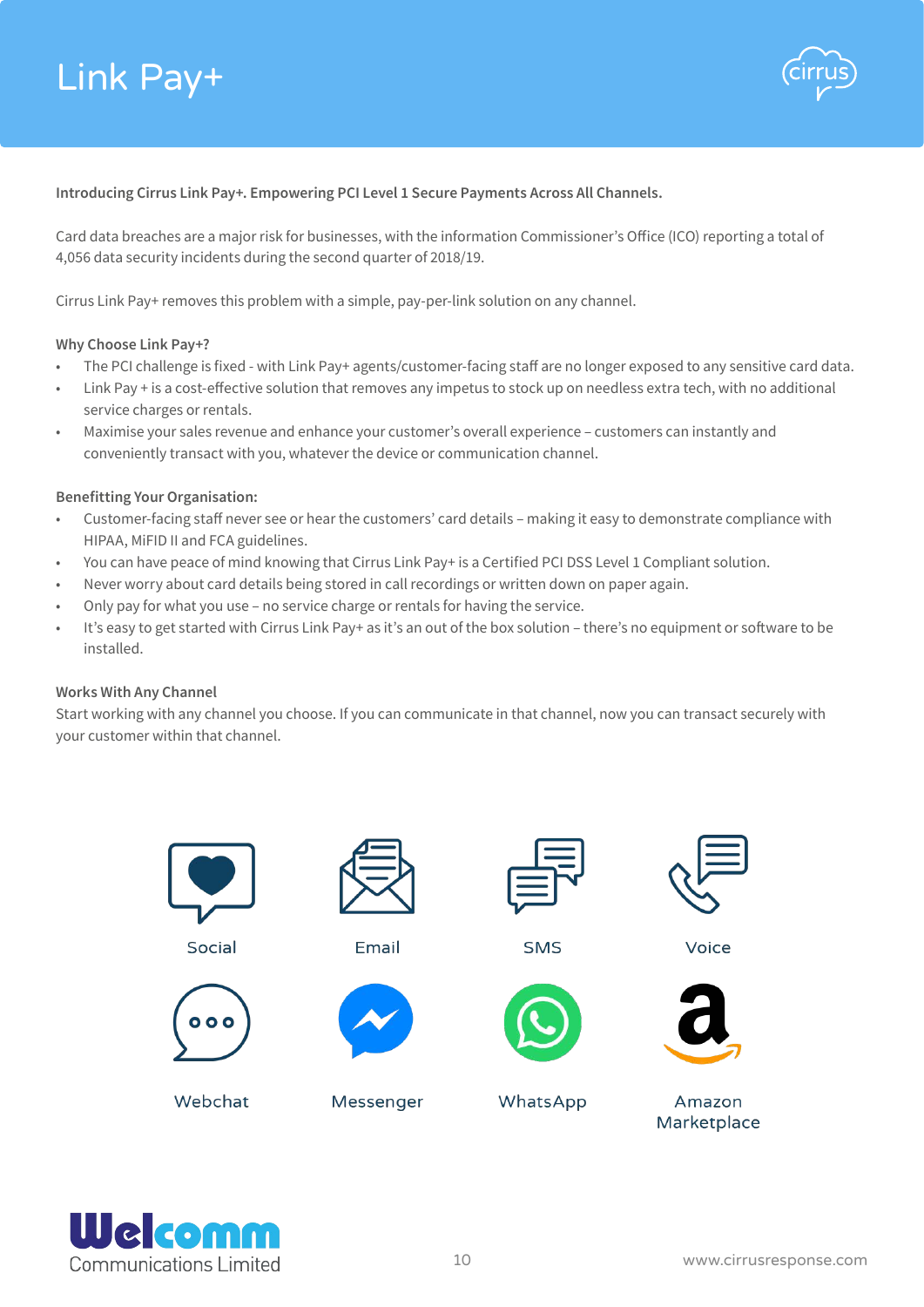

### **Introducing Cirrus Link Pay+. Empowering PCI Level 1 Secure Payments Across All Channels.**

Card data breaches are a major risk for businesses, with the information Commissioner's Office (ICO) reporting a total of 4,056 data security incidents during the second quarter of 2018/19.

Cirrus Link Pay+ removes this problem with a simple, pay-per-link solution on any channel.

### **Why Choose Link Pay+?**

- The PCI challenge is fixed with Link Pay+ agents/customer-facing staff are no longer exposed to any sensitive card data.
- Link Pay + is a cost-effective solution that removes any impetus to stock up on needless extra tech, with no additional service charges or rentals.
- Maximise your sales revenue and enhance your customer's overall experience customers can instantly and conveniently transact with you, whatever the device or communication channel.

### **Benefitting Your Organisation:**

- Customer-facing staff never see or hear the customers' card details making it easy to demonstrate compliance with HIPAA, MiFID II and FCA guidelines.
- You can have peace of mind knowing that Cirrus Link Pay+ is a Certified PCI DSS Level 1 Compliant solution.
- Never worry about card details being stored in call recordings or written down on paper again.
- Only pay for what you use no service charge or rentals for having the service.
- It's easy to get started with Cirrus Link Pay+ as it's an out of the box solution there's no equipment or software to be installed.

### **Works With Any Channel**

Start working with any channel you choose. If you can communicate in that channel, now you can transact securely with your customer within that channel.



Social



Webchat



**Email** 



Messenger



**SMS** 



WhatsApp



Voice



Amazon Marketplace